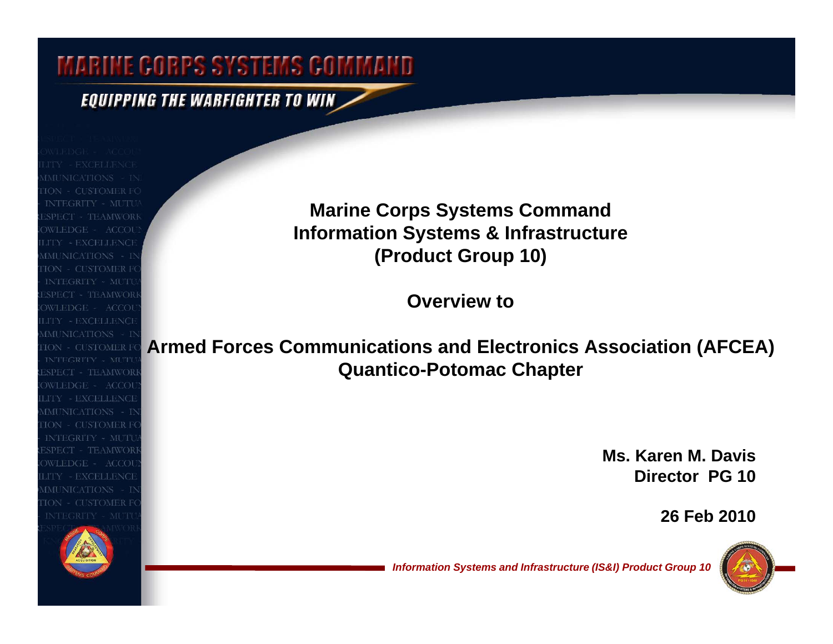### EQUIPPING THE WARFIGHTER TO WIN

SPECT - TEAMWORK WLEDGE - ACCOU **IMUNICATIONS INTEGRITY - MUTU IMUNICATIONS** - IN **ISPECT - TEAMWORI** WLEDGE - ACCOU LITY - EXCELLENCE MUNICATIONS - D **ION - CUSTOMER FO** INTEGRITY - MUTU **ESPECT - TEAMWOR** WLEDGE - ACCOU **ITY - EXCELLENCI IMUNICATIONS** 

**Marine Corps Systems Command Information Systems & Infrastructure (Product Group 10)**

**Overview to** 

### **Armed Forces Communications and Electronics Association (AFCEA) Quantico-Potomac Chapter**

**Ms. Karen M. DavisDirector PG 10**

**26 Feb 2010**

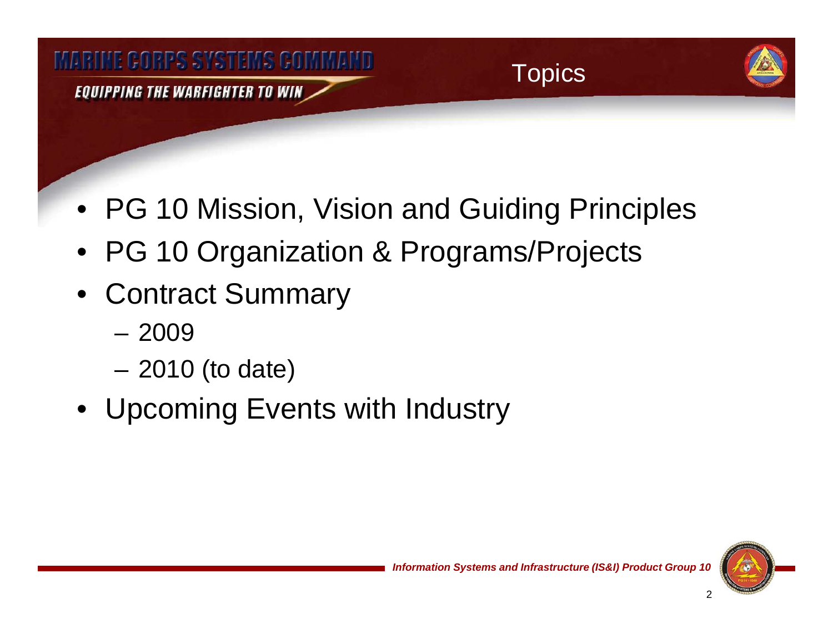

- PG 10 Mission, Vision and Guiding Principles
- PG 10 Organization & Programs/Projects
- Contract Summary
	- 2009
	- 2010 (to date)
- Upcoming Events with Industry

2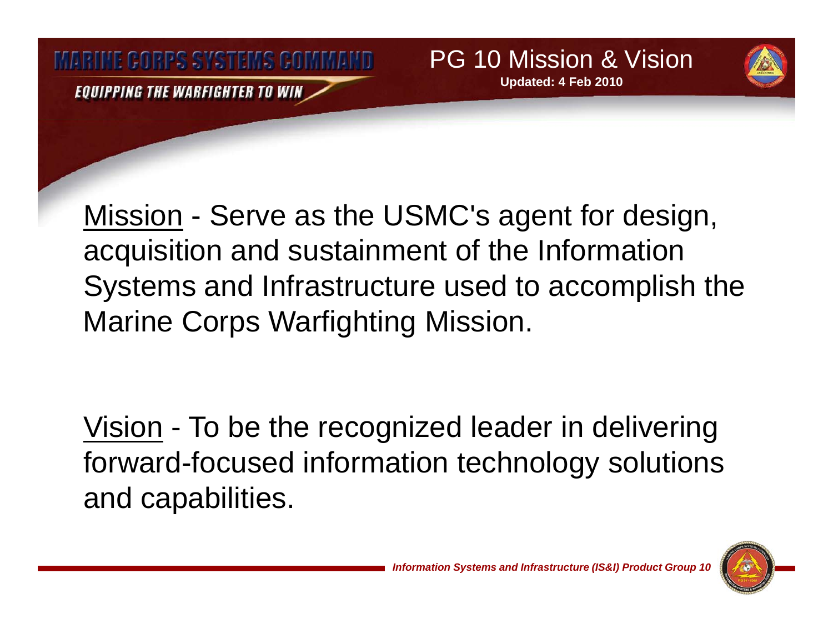**MARINE GORPS SYSTEMS GOMMAND** EQUIPPING THE WARFIGHTER TO WIN

<u>Mission</u> - Serve as the USMC's agent for design, acquisition and sustainment of the Information Systems and Infrastructure used to accomplish the Marine Corps Warfighting Mission.

<u>Vision</u> - To be the recognized leader in delivering forward-focused information technology solutions and capabilities.



*Information Systems and Infrastructure (IS&I) Product Group 10* 

PG 10 Mission & Vision

**Updated: 4 Feb 2010**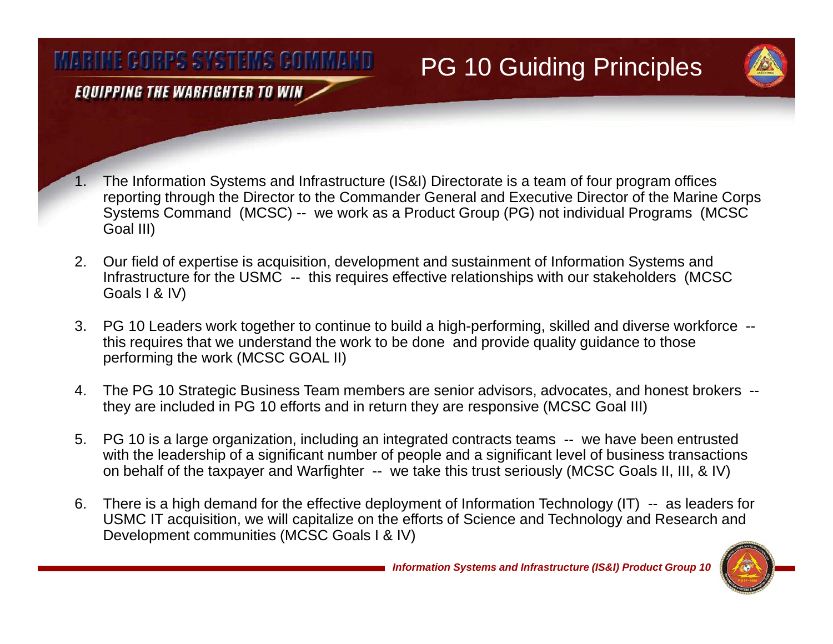# PG 10 Guiding Principles

EQUIPPING THE WARFIGHTER TO WIN

- 1. The Information Systems and Infrastructure (IS&I) Directorate is a team of four program offices reporting through the Director to the Commander General and Executive Director of the Marine Corps Systems Command (MCSC) -- we work as a Product Group (PG) not individual Programs (MCSC Goal III)
- 2. Our field of expertise is acquisition, development and sustainment of Information Systems and Infrastructure for the USMC -- this requires effective relationships with our stakeholders (MCSC Goals I & IV)
- 3. PG 10 Leaders work together to continue to build a high-performing, skilled and diverse workforce this requires that we understand the work to be done and provide quality quidance to those performing the work (MCSC GOAL II)
- 4. The PG 10 Strategic Business Team members are senior advisors, advocates, and honest brokers they are included in PG 10 efforts and in return they are responsive (MCSC Goal III)
- 5. PG 10 is a large organization, including an integrated contracts teams -- we have been entrusted with the leadership of a significant number of people and a significant level of business transactions on behalf of the taxpayer and Warfighter -- we take this trust seriously (MCSC Goals II, III, & IV)
- 6. There is a high demand for the effective deployment of Information Technology (IT) -- as leaders for USMC IT acquisition, we will capitalize on the efforts of Science and Technology and Research and Development communities (MCSC Goals I & IV)

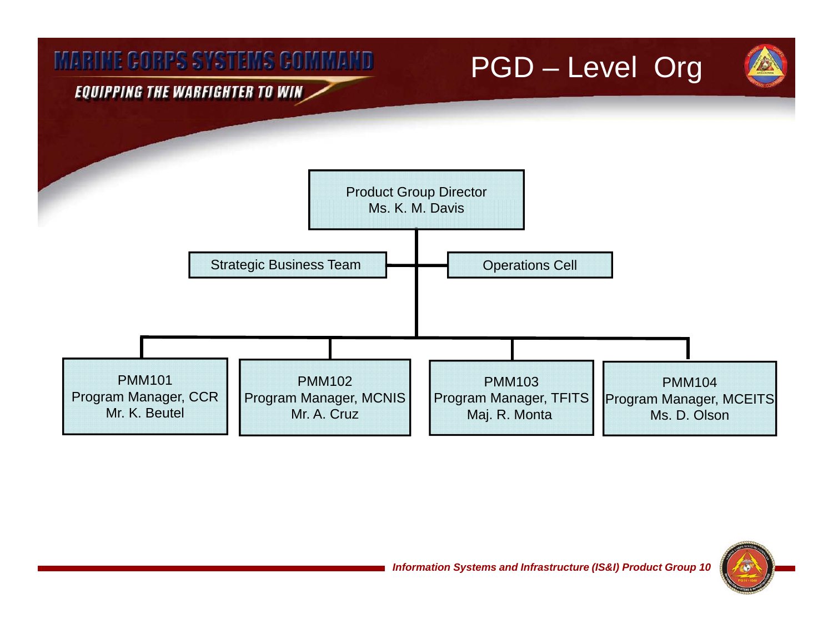

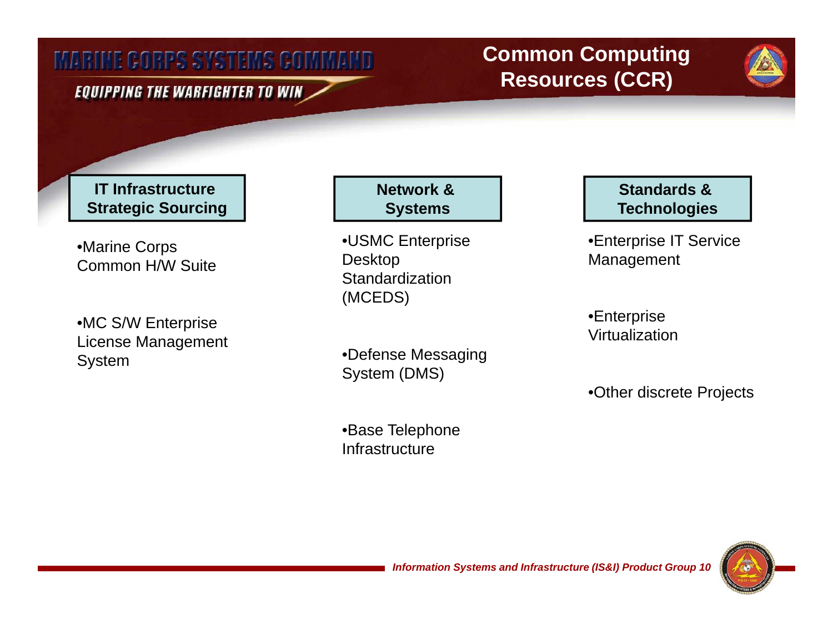### EQUIPPING THE WARFIGHTER TO WIN $\,$

### **Common Computing Resources (CCR)**

**IT Infrastructure Network & Network & Standards & Standards & Returns & Returns & Returns & Returns & Returns &** Strategic Sourcing **National Systems Systems Technologies** 

Management •Marine Corps Common H/W Suite

 •MC S/W Enterprise License Management System

•USMC Enterprise Desktop **Standardization** (MCEDS)

•Defense Messaging System (DMS)

•Base Telephone Infrastructure

•Enterprise IT Service

•Enterprise Virtualization

•Other discrete Projects

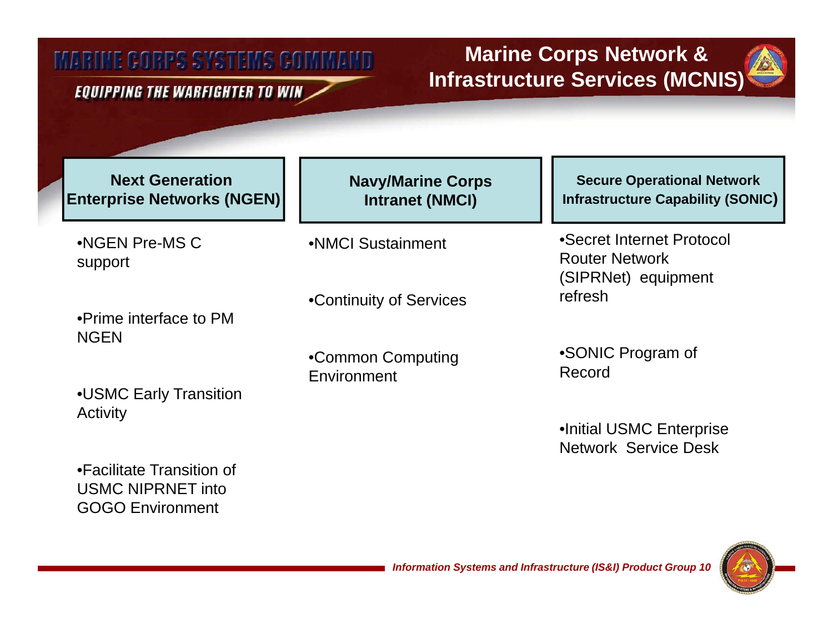#### **EQUIPPING THE WARFIGHTER TO WIN**

### **Marine Corps Network & Infrastructure Services (MCNIS)**

**Next Generation Enterprise Networks (NGEN)**

•NGEN Pre-MS C support

•Prime interface to PM **NGEN** 

•USMC Early Transition Activity

•Facilitate Transition of USMC NIPRNET into GOGO Environment

**Navy/Marine Corps Intranet (NMCI)**

•NMCI Sustainment

•Continuity of Services

•Common Computing Common **Environment** 

**Secure Operational Network Infrastructure Capability (SONIC (SONIC)**

•Secret Internet Protocol Router Network (SIPRNet) equipment refresh

•SONIC Program of Record

•Initial USMC Enterprise Network Service Desk

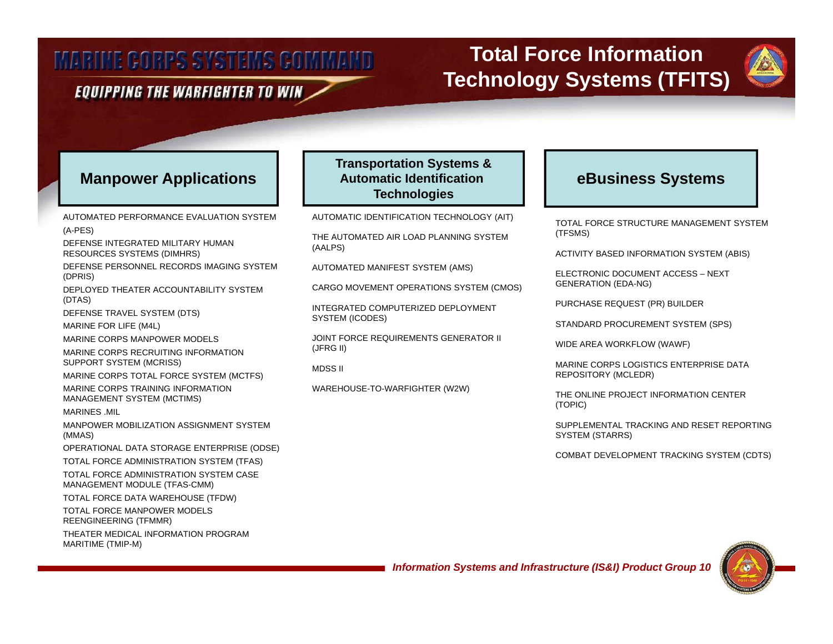#### EQUIPPING THE WARFIGHTER TO WIN

### **Total Force Information Technology Systems (TFITS)**



#### **Manpower Applications | | Automatic Identification | | eBusiness Systems**

AUTOMATED PERFORMANCE EVALUATION SYSTEM (A-PES) DEFENSE INTEGRATED MILITARY HUMAN RESOURCES SYSTEMS (DIMHRS) DEFENSE PERSONNEL RECORDS IMAGING SYSTEM (DPRIS) ( )DEPLOYED THEATER ACCOUNTABILITY SYSTEM (DTAS) DEFENSE TRAVEL SYSTEM (DTS) MARINE FOR LIFE (M4L) MARINE CORPS MANPOWER MODELS MARINE CORPS RECRUITING INFORMATION SUPPORT SYSTEM (MCRISS) MARINE CORPS TOTAL FORCE SYSTEM (MCTFS) MARINE CORPS TRAINING INFORMATION MANAGEMENT SYSTEM (MCTIMS) MARINES .MIL MANPOWER MOBILIZATION ASSIGNMENT SYSTEM (MMAS) OPERATIONAL DATA STORAGE ENTERPRISE (ODSE) TOTAL FORCE ADMINISTRATION SYSTEM (TFAS) TOTAL FORCE ADMINISTRATION SYSTEM CASE MANAGEMENT MODULE (TFAS-CMM) TOTAL FORCE DATA WAREHOUSE (TFDW) TOTAL FORCE MANPOWER MODELS REENGINEERING (TFMMR) THEATER MEDICAL INFORMATION PROGRAM MARITIME (TMIP-M)

#### **Transportation Systems & Automatic Identification Technologies**

AUTOMATIC IDENTIFICATION TECHNOLOGY (AIT)

THE AUTOMATED AIR LOAD PLANNING SYSTEM (AALPS)

AUTOMATED MANIFEST SYSTEM (AMS)

CARGO MOVEMENT OPERATIONS SYSTEM (CMOS)

INTEGRATED COMPUTERIZED DEPLOYMENT SYSTEM (ICODES)

JOINT FORCE REQUIREMENTS GENERATOR II (JFRG II)

WAREHOUSE-TO-WARFIGHTER (W2W)

TOTAL FORCE STRUCTURE MANAGEMENT SYSTEM (TFSMS)

ACTIVITY BASED INFORMATION SYSTEM (ABIS)

ELECTRONIC DOCUMENT ACCESS – NEXT (EDA-NG)

PURCHASE REQUEST (PR) BUILDER

STANDARD PROCUREMENT SYSTEM (SPS)

WIDE AREA WORKFLOW (WAWF)

MARINE CORPS LOGISTICS ENTERPRISE DATA MARINE MARINE CORPS LOGISTICS ENTERPRISE DATA REPOSITORY (MCLEDR)

> THE ONLINE PROJECT INFORMATION CENTER (TOPIC)

SUPPLEMENTAL TRACKING AND RESET REPORTING SYSTEM (STARRS)

COMBAT DEVELOPMENT TRACKING SYSTEM (CDTS)



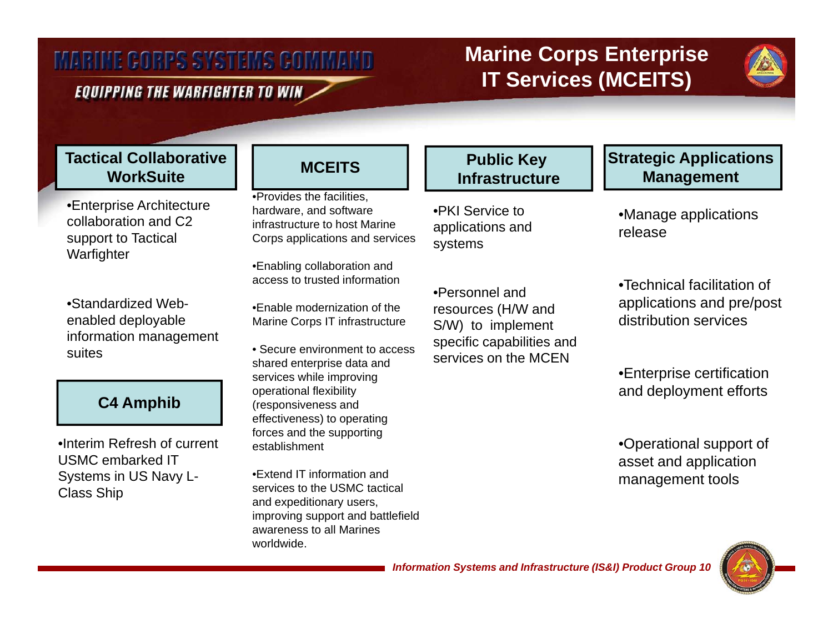#### EQUIPPING THE WARFIGHTER TO WIN

### **Marine Corps Enterprise IT Services (MCEITS)**



### **Tactical CollaborativeWorkSuite**

•Enterprise Architecture collaboration and C2 support to Tactical Warfighter

•Standardized Webenabled deployable information management suites

### **C4 Amphib**

•Interim Refresh of current USMC embarked IT Systems in US Navy L-Class Ship

•Provides the facilities, Provides hardware, and software infrastructure to host Marine Corps applications and services

•Enabling collaboration and access to trusted information

•Enable modernization of the Marine Corps IT infrastructure

• Secure environment to access shared enterprise data and services while improving operational flexibility (responsiveness and effectiveness) to operating forces and the supporting establishment

•Extend IT information and services to the USMC tactical and expeditionary users, improving support and battlefield awareness to all Marines worldwide.

#### **Public Key Infrastructure**

•PKI Service to applications and systems

•Personnel and resources (H/W and S/W) to implement specific capabilities and services on the MCEN

### **Strategic Applications**  MCEITS Infrastructure Management

•Manage applications release

 $\bullet$ Technical facilitation of applications and pre/post distribution services

•Enterprise certification and deployment efforts

•Operational support of asset and application management tools

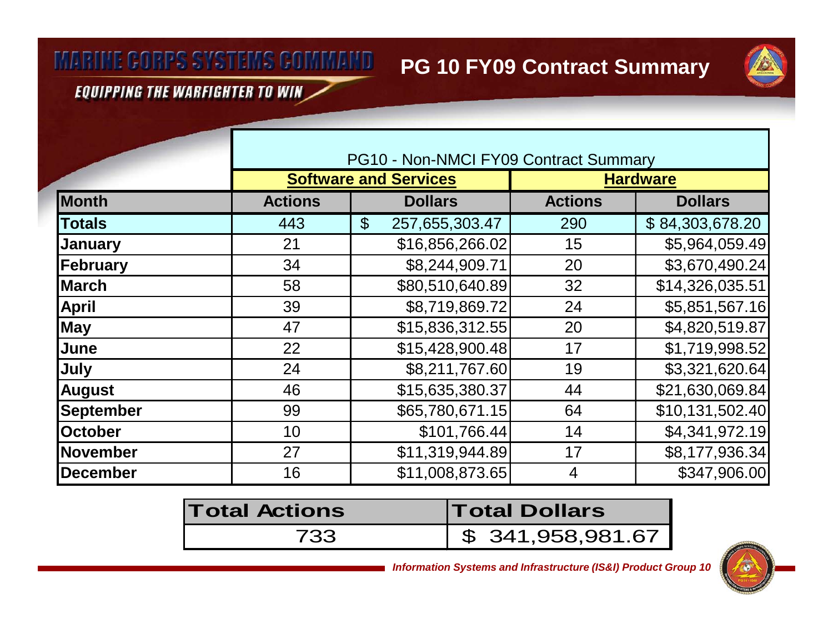**PG 10 FY09 Contract Summary**

**EQUIPPING THE WARFIGHTER TO WIN** 

|                  |                | PG10 - Non-NMCI FY09 Contract Summary       |                |                 |  |  |
|------------------|----------------|---------------------------------------------|----------------|-----------------|--|--|
|                  |                | <b>Software and Services</b>                |                | <b>Hardware</b> |  |  |
| <b>Month</b>     | <b>Actions</b> | <b>Dollars</b>                              | <b>Actions</b> | <b>Dollars</b>  |  |  |
| <b>Totals</b>    | 443            | 257,655,303.47<br>$\boldsymbol{\mathsf{S}}$ | 290            | \$84,303,678.20 |  |  |
| <b>January</b>   | 21             | \$16,856,266.02                             | 15             | \$5,964,059.49  |  |  |
| February         | 34             | \$8,244,909.71                              | 20             | \$3,670,490.24  |  |  |
| <b>March</b>     | 58             | \$80,510,640.89                             | 32             | \$14,326,035.51 |  |  |
| <b>April</b>     | 39             | \$8,719,869.72                              | 24             | \$5,851,567.16  |  |  |
| <b>May</b>       | 47             | \$15,836,312.55                             | 20             | \$4,820,519.87  |  |  |
| June             | 22             | \$15,428,900.48                             | 17             | \$1,719,998.52  |  |  |
| July             | 24             | \$8,211,767.60                              | 19             | \$3,321,620.64  |  |  |
| <b>August</b>    | 46             | \$15,635,380.37                             | 44             | \$21,630,069.84 |  |  |
| <b>September</b> | 99             | \$65,780,671.15                             | 64             | \$10,131,502.40 |  |  |
| <b>October</b>   | 10             | \$101,766.44]                               | 14             | \$4,341,972.19  |  |  |
| November         | 27             | \$11,319,944.89                             | 17             | \$8,177,936.34  |  |  |
| <b>December</b>  | 16             | \$11,008,873.65                             | $\overline{4}$ | \$347,906.00    |  |  |

| <b>Total Actions</b> | <b>Total Dollars</b> |  |  |
|----------------------|----------------------|--|--|
| 733                  | \$341,958,981.67     |  |  |

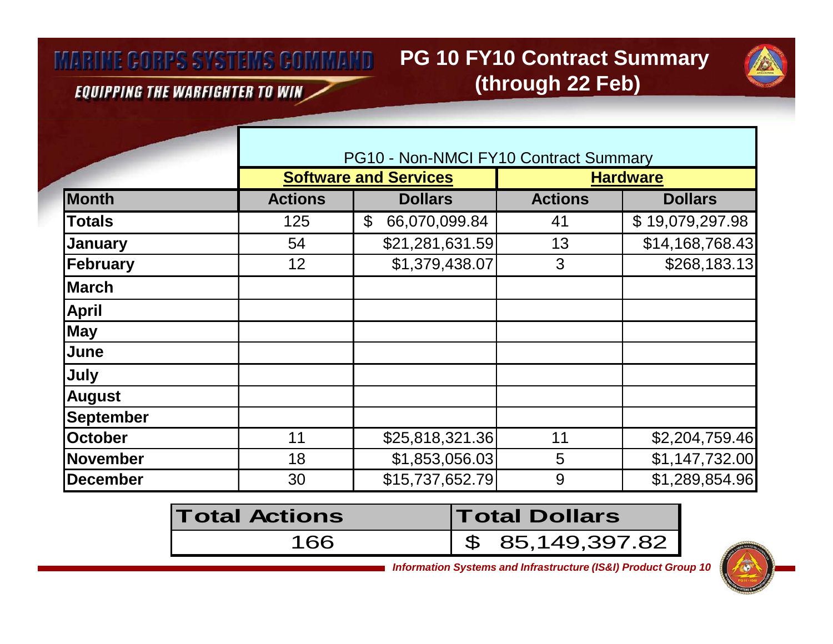## **PG 10 FY10 Contract Summary (through 22 Feb)**



**EQUIPPING THE WARFIGHTER TO WIN** 

|                  | PG10 - Non-NMCI FY10 Contract Summary |                                 |                |                 |  |
|------------------|---------------------------------------|---------------------------------|----------------|-----------------|--|
|                  |                                       | <b>Software and Services</b>    |                | <b>Hardware</b> |  |
| <b>Month</b>     | <b>Actions</b>                        | <b>Dollars</b>                  | <b>Actions</b> | <b>Dollars</b>  |  |
| <b>Totals</b>    | 125                                   | $\mathfrak{L}$<br>66,070,099.84 | 41             | \$19,079,297.98 |  |
| <b>January</b>   | 54                                    | \$21,281,631.59                 | 13             | \$14,168,768.43 |  |
| February         | 12                                    | \$1,379,438.07                  | 3              | \$268,183.13    |  |
| <b>March</b>     |                                       |                                 |                |                 |  |
| <b>April</b>     |                                       |                                 |                |                 |  |
| <b>May</b>       |                                       |                                 |                |                 |  |
| June             |                                       |                                 |                |                 |  |
| July             |                                       |                                 |                |                 |  |
| <b>August</b>    |                                       |                                 |                |                 |  |
| <b>September</b> |                                       |                                 |                |                 |  |
| <b>October</b>   | 11                                    | \$25,818,321.36                 | 11             | \$2,204,759.46  |  |
| November         | 18                                    | \$1,853,056.03                  | 5              | \$1,147,732.00  |  |
| <b>December</b>  | 30                                    | \$15,737,652.79                 | 9              | \$1,289,854.96  |  |

| <b>Total Actions</b> | <b>Total Dollars</b>        |  |  |
|----------------------|-----------------------------|--|--|
| 166                  | $\frac{1}{5}$ 85,149,397.82 |  |  |

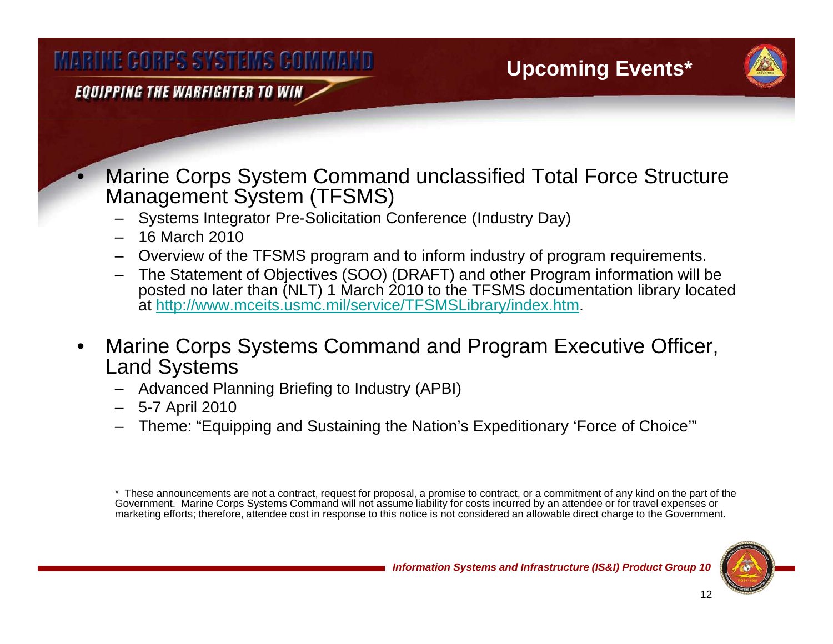EQUIPPING THE WARFIGHTER TO WIN

 Marine Corps System Command unclassified Total Force Structure Management System (TFSMS)

- –Systems Integrator Pre-Solicitation Conference (Industry Day)
- 16 March 2010

•

- –Overview of the TFSMS program and to inform industry of program requirements.
- The Statement of Objectives (SOO) (DRAFT) and other Program information will be posted no later than (NLT) 1 March 2010 to the TFSMS documentation library located at http://www.mceits.usmc.mil/service/TFSMSLibrary/index.htm.
- • Marine Corps Systems Command and Program Executive Officer, Land Systems
	- Advanced Planning Briefing to Industry (APBI)
	- 5-7 April 2010
	- –Theme: "Equipping and Sustaining the Nation's Expeditionary 'Force of Choice'"

\* These announcements are not a contract, request for proposal, a promise to contract, or a commitment of any kind on the part of the Government. Marine Corps Systems Command will not assume liability for costs incurred by an attendee or for travel expenses or marketing efforts; therefore, attendee cost in response to this notice is not considered an allowable direct charge to the Government.

**Upcoming Events\***

12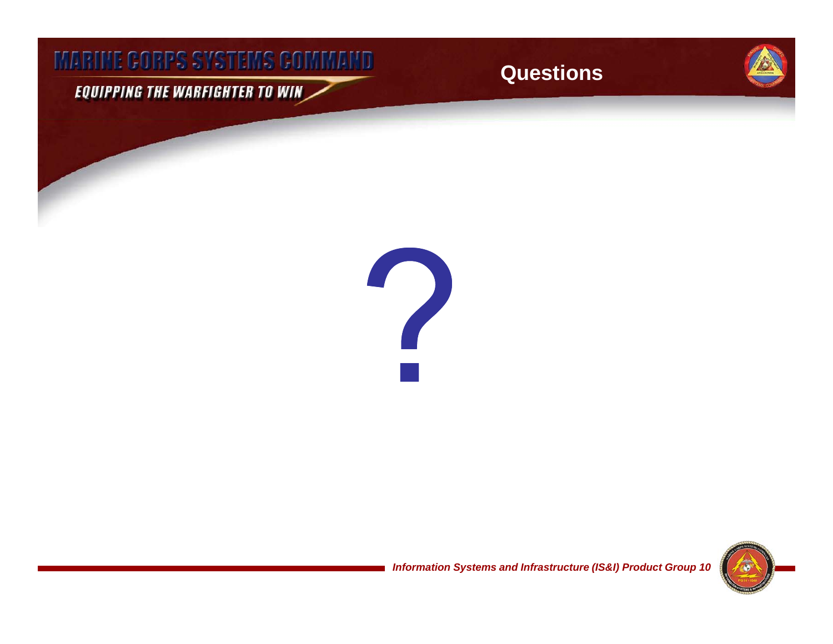EQUIPPING THE WARFIGHTER TO WIN

**Questions**